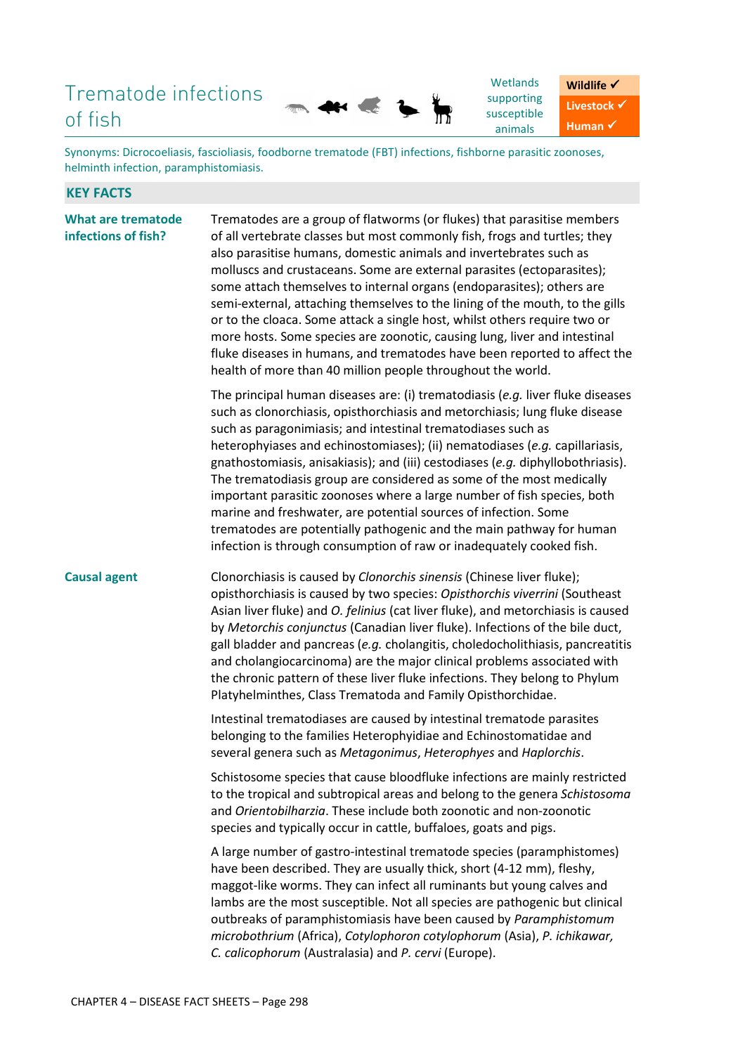# Trematode infections of fish



Synonyms: Dicrocoeliasis, fascioliasis, foodborne trematode (FBT) infections, fishborne parasitic zoonoses, helminth infection, paramphistomiasis.

## **KEY FACTS**

**What are trematode infections of fish?** Trematodes are a group of flatworms (or flukes) that parasitise members of all vertebrate classes but most commonly fish, frogs and turtles; they also parasitise humans, domestic animals and invertebrates such as molluscs and crustaceans. Some are external parasites (ectoparasites); some attach themselves to internal organs (endoparasites); others are semi-external, attaching themselves to the lining of the mouth, to the gills or to the cloaca. Some attack a single host, whilst others require two or more hosts. Some species are zoonotic, causing lung, liver and intestinal fluke diseases in humans, and trematodes have been reported to affect the health of more than 40 million people throughout the world. The principal human diseases are: (i) trematodiasis (*e.g.* liver fluke diseases such as clonorchiasis, opisthorchiasis and metorchiasis; lung fluke disease such as paragonimiasis; and intestinal trematodiases such as heterophyiases and echinostomiases); (ii) nematodiases (*e.g.* capillariasis, gnathostomiasis, anisakiasis); and (iii) cestodiases (*e.g.* diphyllobothriasis). The trematodiasis group are considered as some of the most medically important parasitic zoonoses where a large number of fish species, both marine and freshwater, are potential sources of infection. Some trematodes are potentially pathogenic and the main pathway for human infection is through consumption of raw or inadequately cooked fish. **Causal agent** Clonorchiasis is caused by *Clonorchis sinensis* (Chinese liver fluke); opisthorchiasis is caused by two species: *Opisthorchis viverrini* (Southeast Asian liver fluke) and *O. felinius* (cat liver fluke), and metorchiasis is caused by *Metorchis conjunctus* (Canadian liver fluke). Infections of the bile duct, gall bladder and pancreas (*e.g.* cholangitis, choledocholithiasis, pancreatitis and cholangiocarcinoma) are the major clinical problems associated with the chronic pattern of these liver fluke infections. They belong to Phylum Platyhelminthes, Class Trematoda and Family Opisthorchidae. Intestinal trematodiases are caused by intestinal trematode parasites belonging to the families Heterophyidiae and Echinostomatidae and several genera such as *Metagonimus*, *Heterophyes* and *Haplorchis*. Schistosome species that cause bloodfluke infections are mainly restricted to the tropical and subtropical areas and belong to the genera *Schistosoma* and *Orientobilharzia*. These include both zoonotic and non-zoonotic species and typically occur in cattle, buffaloes, goats and pigs. A large number of gastro-intestinal trematode species (paramphistomes) have been described. They are usually thick, short (4-12 mm), fleshy, maggot-like worms. They can infect all ruminants but young calves and lambs are the most susceptible. Not all species are pathogenic but clinical outbreaks of paramphistomiasis have been caused by *Paramphistomum microbothrium* (Africa), *Cotylophoron cotylophorum* (Asia), *P. ichikawar, C. calicophorum* (Australasia) and *P. cervi* (Europe).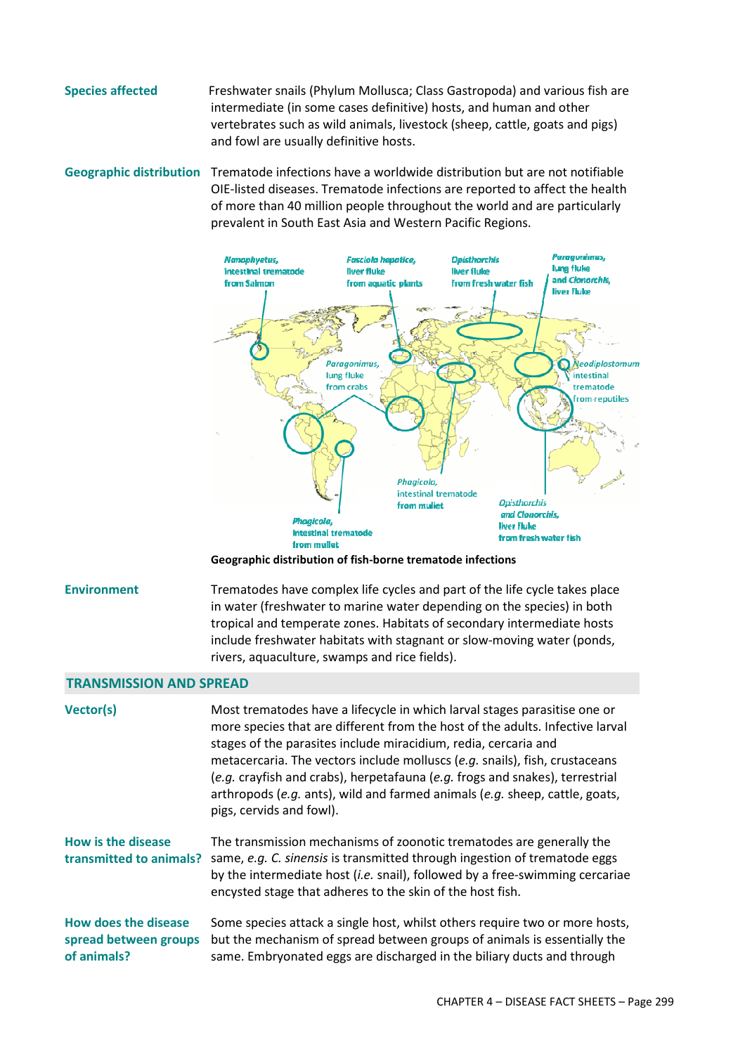**Species affected** Freshwater snails (Phylum Mollusca; Class Gastropoda) and various fish are intermediate (in some cases definitive) hosts, and human and other vertebrates such as wild animals, livestock (sheep, cattle, goats and pigs) and fowl are usually definitive hosts.

**Geographic distribution** Trematode infections have a worldwide distribution but are not notifiable OIE-listed diseases. Trematode infections are reported to affect the health of more than 40 million people throughout the world and are particularly prevalent in South East Asia and Western Pacific Regions.



**Geographic distribution of fish-borne trematode infections** 

**Environment** Trematodes have complex life cycles and part of the life cycle takes place in water (freshwater to marine water depending on the species) in both tropical and temperate zones. Habitats of secondary intermediate hosts include freshwater habitats with stagnant or slow-moving water (ponds, rivers, aquaculture, swamps and rice fields).

## **TRANSMISSION AND SPREAD**

| <b>Vector(s)</b>                                                    | Most trematodes have a lifecycle in which larval stages parasitise one or<br>more species that are different from the host of the adults. Infective larval<br>stages of the parasites include miracidium, redia, cercaria and<br>metacercaria. The vectors include molluscs (e.g. snails), fish, crustaceans<br>(e.g. crayfish and crabs), herpetafauna (e.g. frogs and snakes), terrestrial<br>arthropods (e.g. ants), wild and farmed animals (e.g. sheep, cattle, goats,<br>pigs, cervids and fowl). |
|---------------------------------------------------------------------|---------------------------------------------------------------------------------------------------------------------------------------------------------------------------------------------------------------------------------------------------------------------------------------------------------------------------------------------------------------------------------------------------------------------------------------------------------------------------------------------------------|
| How is the disease<br>transmitted to animals?                       | The transmission mechanisms of zoonotic trematodes are generally the<br>same, e.g. C. sinensis is transmitted through ingestion of trematode eggs<br>by the intermediate host (i.e. snail), followed by a free-swimming cercariae<br>encysted stage that adheres to the skin of the host fish.                                                                                                                                                                                                          |
| <b>How does the disease</b><br>spread between groups<br>of animals? | Some species attack a single host, whilst others require two or more hosts,<br>but the mechanism of spread between groups of animals is essentially the<br>same. Embryonated eggs are discharged in the biliary ducts and through                                                                                                                                                                                                                                                                       |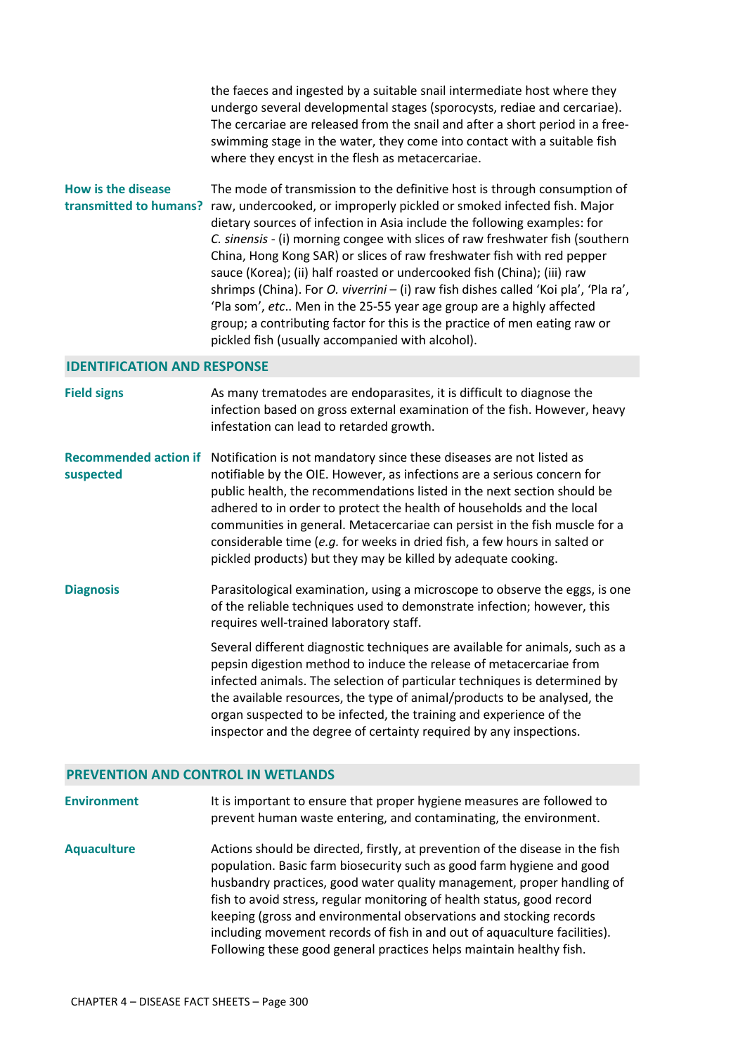the faeces and ingested by a suitable snail intermediate host where they undergo several developmental stages (sporocysts, rediae and cercariae). The cercariae are released from the snail and after a short period in a freeswimming stage in the water, they come into contact with a suitable fish where they encyst in the flesh as metacercariae.

**How is the disease**  transmitted to humans? raw, undercooked, or improperly pickled or smoked infected fish. Major The mode of transmission to the definitive host is through consumption of dietary sources of infection in Asia include the following examples: for *C. sinensis* - (i) morning congee with slices of raw freshwater fish (southern China, Hong Kong SAR) or slices of raw freshwater fish with red pepper sauce (Korea); (ii) half roasted or undercooked fish (China); (iii) raw shrimps (China). For *O. viverrini* – (i) raw fish dishes called 'Koi pla', 'Pla ra', 'Pla som', *etc*.. Men in the 25-55 year age group are a highly affected group; a contributing factor for this is the practice of men eating raw or pickled fish (usually accompanied with alcohol).

#### **IDENTIFICATION AND RESPONSE**

| <b>Field signs</b>                        | As many trematodes are endoparasites, it is difficult to diagnose the<br>infection based on gross external examination of the fish. However, heavy<br>infestation can lead to retarded growth.                                                                                                                                                                                                                                                                                                                                  |
|-------------------------------------------|---------------------------------------------------------------------------------------------------------------------------------------------------------------------------------------------------------------------------------------------------------------------------------------------------------------------------------------------------------------------------------------------------------------------------------------------------------------------------------------------------------------------------------|
| <b>Recommended action if</b><br>suspected | Notification is not mandatory since these diseases are not listed as<br>notifiable by the OIE. However, as infections are a serious concern for<br>public health, the recommendations listed in the next section should be<br>adhered to in order to protect the health of households and the local<br>communities in general. Metacercariae can persist in the fish muscle for a<br>considerable time (e.g. for weeks in dried fish, a few hours in salted or<br>pickled products) but they may be killed by adequate cooking. |
| <b>Diagnosis</b>                          | Parasitological examination, using a microscope to observe the eggs, is one<br>of the reliable techniques used to demonstrate infection; however, this<br>requires well-trained laboratory staff.                                                                                                                                                                                                                                                                                                                               |
|                                           | Several different diagnostic techniques are available for animals, such as a<br>pepsin digestion method to induce the release of metacercariae from<br>infected animals. The selection of particular techniques is determined by<br>the available resources, the type of animal/products to be analysed, the<br>organ suspected to be infected, the training and experience of the<br>inspector and the degree of certainty required by any inspections.                                                                        |

#### **PREVENTION AND CONTROL IN WETLANDS**

**Environment** It is important to ensure that proper hygiene measures are followed to prevent human waste entering, and contaminating, the environment.

**Aquaculture** Actions should be directed, firstly, at prevention of the disease in the fish population. Basic farm biosecurity such as good farm hygiene and good husbandry practices, good water quality management, proper handling of fish to avoid stress, regular monitoring of health status, good record keeping (gross and environmental observations and stocking records including movement records of fish in and out of aquaculture facilities). Following these good general practices helps maintain healthy fish.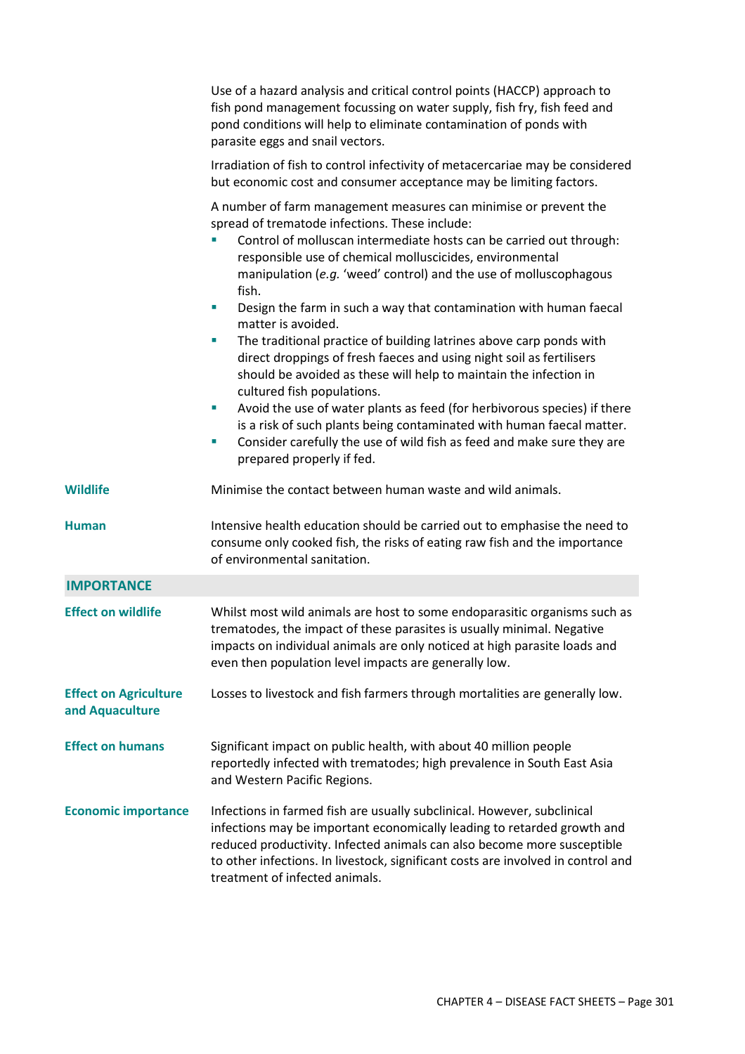|                                                 | Use of a hazard analysis and critical control points (HACCP) approach to<br>fish pond management focussing on water supply, fish fry, fish feed and<br>pond conditions will help to eliminate contamination of ponds with<br>parasite eggs and snail vectors.                                                                                                                                                                                                                                                                                                                                                                                                                                                                                                                                                                                                                                                                                                        |  |  |  |
|-------------------------------------------------|----------------------------------------------------------------------------------------------------------------------------------------------------------------------------------------------------------------------------------------------------------------------------------------------------------------------------------------------------------------------------------------------------------------------------------------------------------------------------------------------------------------------------------------------------------------------------------------------------------------------------------------------------------------------------------------------------------------------------------------------------------------------------------------------------------------------------------------------------------------------------------------------------------------------------------------------------------------------|--|--|--|
|                                                 | Irradiation of fish to control infectivity of metacercariae may be considered<br>but economic cost and consumer acceptance may be limiting factors.                                                                                                                                                                                                                                                                                                                                                                                                                                                                                                                                                                                                                                                                                                                                                                                                                  |  |  |  |
|                                                 | A number of farm management measures can minimise or prevent the<br>spread of trematode infections. These include:<br>Control of molluscan intermediate hosts can be carried out through:<br>responsible use of chemical molluscicides, environmental<br>manipulation (e.g. 'weed' control) and the use of molluscophagous<br>fish.<br>Design the farm in such a way that contamination with human faecal<br>u,<br>matter is avoided.<br>The traditional practice of building latrines above carp ponds with<br>u,<br>direct droppings of fresh faeces and using night soil as fertilisers<br>should be avoided as these will help to maintain the infection in<br>cultured fish populations.<br>Avoid the use of water plants as feed (for herbivorous species) if there<br>ш<br>is a risk of such plants being contaminated with human faecal matter.<br>Consider carefully the use of wild fish as feed and make sure they are<br>U,<br>prepared properly if fed. |  |  |  |
| Wildlife                                        | Minimise the contact between human waste and wild animals.                                                                                                                                                                                                                                                                                                                                                                                                                                                                                                                                                                                                                                                                                                                                                                                                                                                                                                           |  |  |  |
| <b>Human</b>                                    | Intensive health education should be carried out to emphasise the need to<br>consume only cooked fish, the risks of eating raw fish and the importance<br>of environmental sanitation.                                                                                                                                                                                                                                                                                                                                                                                                                                                                                                                                                                                                                                                                                                                                                                               |  |  |  |
| <b>IMPORTANCE</b>                               |                                                                                                                                                                                                                                                                                                                                                                                                                                                                                                                                                                                                                                                                                                                                                                                                                                                                                                                                                                      |  |  |  |
| <b>Effect on wildlife</b>                       | Whilst most wild animals are host to some endoparasitic organisms such as<br>trematodes, the impact of these parasites is usually minimal. Negative<br>impacts on individual animals are only noticed at high parasite loads and<br>even then population level impacts are generally low.                                                                                                                                                                                                                                                                                                                                                                                                                                                                                                                                                                                                                                                                            |  |  |  |
| <b>Effect on Agriculture</b><br>and Aquaculture | Losses to livestock and fish farmers through mortalities are generally low.                                                                                                                                                                                                                                                                                                                                                                                                                                                                                                                                                                                                                                                                                                                                                                                                                                                                                          |  |  |  |
| <b>Effect on humans</b>                         | Significant impact on public health, with about 40 million people<br>reportedly infected with trematodes; high prevalence in South East Asia<br>and Western Pacific Regions.                                                                                                                                                                                                                                                                                                                                                                                                                                                                                                                                                                                                                                                                                                                                                                                         |  |  |  |
| <b>Economic importance</b>                      | Infections in farmed fish are usually subclinical. However, subclinical<br>infections may be important economically leading to retarded growth and<br>reduced productivity. Infected animals can also become more susceptible<br>to other infections. In livestock, significant costs are involved in control and<br>treatment of infected animals.                                                                                                                                                                                                                                                                                                                                                                                                                                                                                                                                                                                                                  |  |  |  |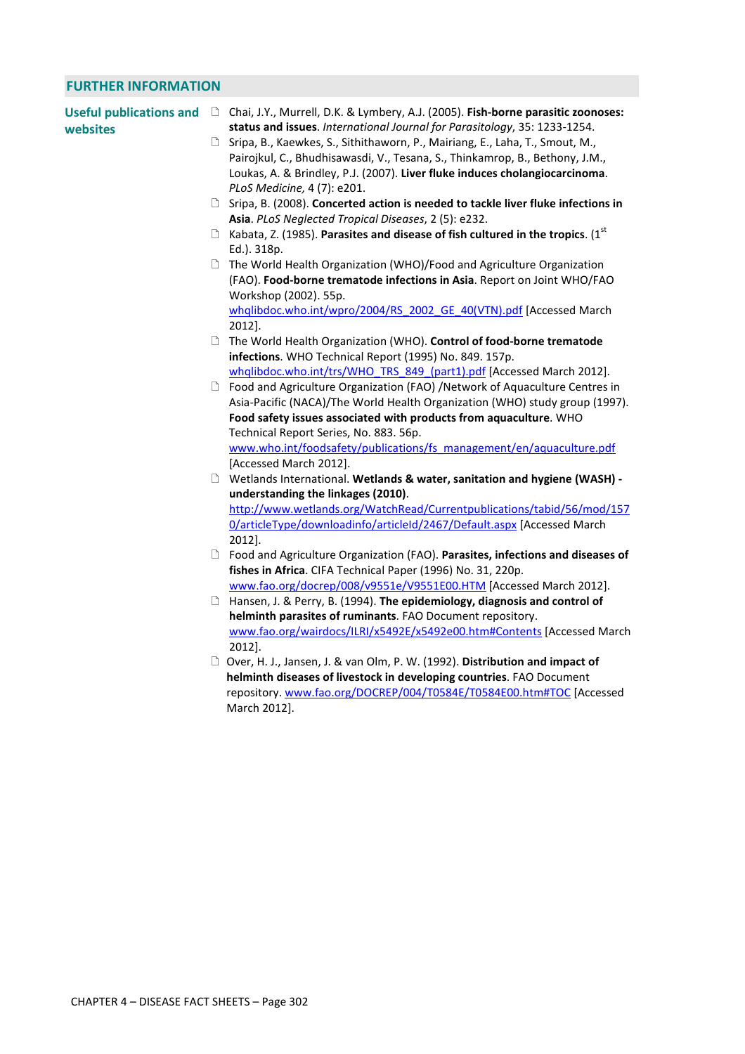# **FURTHER INFORMATION**

| <b>Useful publications and</b><br>websites | □ Chai, J.Y., Murrell, D.K. & Lymbery, A.J. (2005). Fish-borne parasitic zoonoses:<br>status and issues. International Journal for Parasitology, 35: 1233-1254.                                                                                                              |
|--------------------------------------------|------------------------------------------------------------------------------------------------------------------------------------------------------------------------------------------------------------------------------------------------------------------------------|
|                                            | □ Sripa, B., Kaewkes, S., Sithithaworn, P., Mairiang, E., Laha, T., Smout, M.,<br>Pairojkul, C., Bhudhisawasdi, V., Tesana, S., Thinkamrop, B., Bethony, J.M.,<br>Loukas, A. & Brindley, P.J. (2007). Liver fluke induces cholangiocarcinoma.<br>PLoS Medicine, 4 (7): e201. |
|                                            | □ Sripa, B. (2008). Concerted action is needed to tackle liver fluke infections in<br>Asia. PLoS Neglected Tropical Diseases, 2 (5): e232.                                                                                                                                   |
|                                            | $\Box$ Kabata, Z. (1985). Parasites and disease of fish cultured in the tropics. (1 <sup>st</sup><br>Ed.). 318p.                                                                                                                                                             |
|                                            | □ The World Health Organization (WHO)/Food and Agriculture Organization<br>(FAO). Food-borne trematode infections in Asia. Report on Joint WHO/FAO<br>Workshop (2002). 55p.<br>whqlibdoc.who.int/wpro/2004/RS_2002_GE_40(VTN).pdf [Accessed March                            |
|                                            | 2012].                                                                                                                                                                                                                                                                       |
|                                            | □ The World Health Organization (WHO). Control of food-borne trematode<br>infections. WHO Technical Report (1995) No. 849. 157p.                                                                                                                                             |
|                                            | whqlibdoc.who.int/trs/WHO TRS 849 (part1).pdf [Accessed March 2012].                                                                                                                                                                                                         |
|                                            | □ Food and Agriculture Organization (FAO) /Network of Aquaculture Centres in                                                                                                                                                                                                 |
|                                            | Asia-Pacific (NACA)/The World Health Organization (WHO) study group (1997).                                                                                                                                                                                                  |
|                                            | Food safety issues associated with products from aquaculture. WHO                                                                                                                                                                                                            |
|                                            | Technical Report Series, No. 883. 56p.                                                                                                                                                                                                                                       |
|                                            | www.who.int/foodsafety/publications/fs management/en/aquaculture.pdf                                                                                                                                                                                                         |
|                                            | [Accessed March 2012].                                                                                                                                                                                                                                                       |
|                                            | D Wetlands International. Wetlands & water, sanitation and hygiene (WASH) -                                                                                                                                                                                                  |
|                                            | understanding the linkages (2010).                                                                                                                                                                                                                                           |
|                                            | http://www.wetlands.org/WatchRead/Currentpublications/tabid/56/mod/157                                                                                                                                                                                                       |
|                                            | 0/articleType/downloadinfo/articleId/2467/Default.aspx [Accessed March                                                                                                                                                                                                       |
|                                            | 2012].                                                                                                                                                                                                                                                                       |
|                                            | □ Food and Agriculture Organization (FAO). Parasites, infections and diseases of                                                                                                                                                                                             |
|                                            | fishes in Africa. CIFA Technical Paper (1996) No. 31, 220p.                                                                                                                                                                                                                  |
|                                            | www.fao.org/docrep/008/v9551e/V9551E00.HTM [Accessed March 2012].                                                                                                                                                                                                            |
|                                            | <b>The Hansen, J. &amp; Perry, B. (1994). The epidemiology, diagnosis and control of</b>                                                                                                                                                                                     |
|                                            | helminth parasites of ruminants. FAO Document repository.                                                                                                                                                                                                                    |
|                                            | www.fao.org/wairdocs/ILRI/x5492E/x5492e00.htm#Contents [Accessed March<br>2012].                                                                                                                                                                                             |
|                                            | D Over, H. J., Jansen, J. & van Olm, P. W. (1992). Distribution and impact of                                                                                                                                                                                                |
|                                            | helminth diseases of livestock in developing countries. FAO Document                                                                                                                                                                                                         |
|                                            | repository.www.fao.org/DOCREP/004/T0584E/T0584E00.htm#TOC [Accessed                                                                                                                                                                                                          |
|                                            | March 2012].                                                                                                                                                                                                                                                                 |
|                                            |                                                                                                                                                                                                                                                                              |